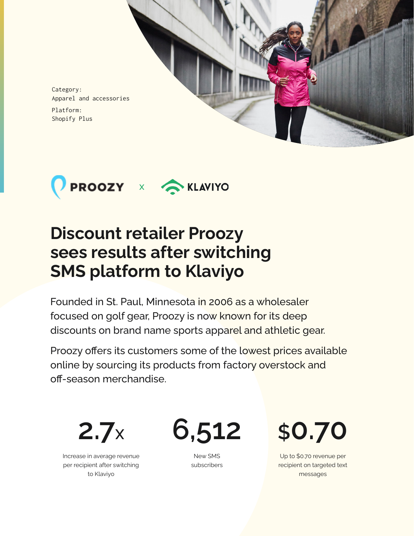

Category: Apparel and accessories Platform:

Shopify Plus



# **Discount retailer Proozy sees results after switching SMS platform to Klaviyo**

Founded in St. Paul, Minnesota in 2006 as a wholesaler focused on golf gear, Proozy is now known for its deep discounts on brand name sports apparel and athletic gear.

Proozy offers its customers some of the lowest prices available online by sourcing its products from factory overstock and off-season merchandise.

**2.7X**

Increase in average revenue per recipient after switching to Klaviyo

**6,512**

New SMS subscribers **\$0.70**

Up to \$0.70 revenue per recipient on targeted text messages